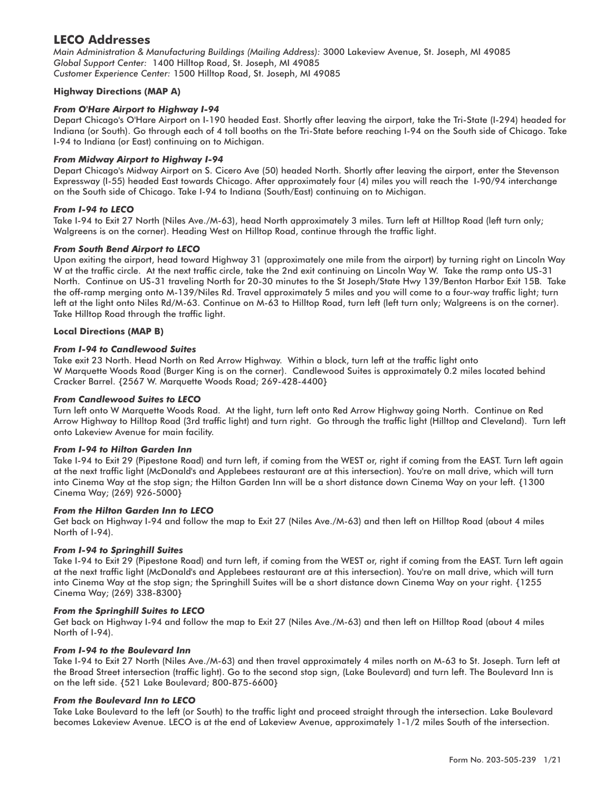# **LECO Addresses**

*Main Administration & Manufacturing Buildings (Mailing Address):* 3000 Lakeview Avenue, St. Joseph, MI 49085 *Global Support Center:* 1400 Hilltop Road, St. Joseph, MI 49085 *Customer Experience Center:* 1500 Hilltop Road, St. Joseph, MI 49085

## **Highway Directions (MAP A)**

## *From O'Hare Airport to Highway I-94*

Depart Chicago's O'Hare Airport on I-190 headed East. Shortly after leaving the airport, take the Tri-State (I-294) headed for Indiana (or South). Go through each of 4 toll booths on the Tri-State before reaching I-94 on the South side of Chicago. Take I-94 to Indiana (or East) continuing on to Michigan.

## *From Midway Airport to Highway I-94*

Depart Chicago's Midway Airport on S. Cicero Ave (50) headed North. Shortly after leaving the airport, enter the Stevenson Expressway (I-55) headed East towards Chicago. After approximately four (4) miles you will reach the I-90/94 interchange on the South side of Chicago. Take I-94 to Indiana (South/East) continuing on to Michigan.

## *From I-94 to LECO*

Take I-94 to Exit 27 North (Niles Ave./M-63), head North approximately 3 miles. Turn left at Hilltop Road (left turn only; Walgreens is on the corner). Heading West on Hilltop Road, continue through the traffic light.

#### *From South Bend Airport to LECO*

Upon exiting the airport, head toward Highway 31 (approximately one mile from the airport) by turning right on Lincoln Way W at the traffic circle. At the next traffic circle, take the 2nd exit continuing on Lincoln Way W. Take the ramp onto US-31 North. Continue on US-31 traveling North for 20-30 minutes to the St Joseph/State Hwy 139/Benton Harbor Exit 15B. Take the off-ramp merging onto M-139/Niles Rd. Travel approximately 5 miles and you will come to a four-way traffic light; turn left at the light onto Niles Rd/M-63. Continue on M-63 to Hilltop Road, turn left (left turn only; Walgreens is on the corner). Take Hilltop Road through the traffic light.

#### **Local Directions (MAP B)**

## *From I-94 to Candlewood Suites*

Take exit 23 North. Head North on Red Arrow Highway. Within a block, turn left at the traffic light onto W Marquette Woods Road (Burger King is on the corner). Candlewood Suites is approximately 0.2 miles located behind Cracker Barrel. {2567 W. Marquette Woods Road; 269-428-4400}

#### *From Candlewood Suites to LECO*

Turn left onto W Marquette Woods Road. At the light, turn left onto Red Arrow Highway going North. Continue on Red Arrow Highway to Hilltop Road (3rd traffic light) and turn right. Go through the traffic light (Hilltop and Cleveland). Turn left onto Lakeview Avenue for main facility.

#### *From I-94 to Hilton Garden Inn*

Take I-94 to Exit 29 (Pipestone Road) and turn left, if coming from the WEST or, right if coming from the EAST. Turn left again at the next traffic light (McDonald's and Applebees restaurant are at this intersection). You're on mall drive, which will turn into Cinema Way at the stop sign; the Hilton Garden Inn will be a short distance down Cinema Way on your left. {1300 Cinema Way; (269) 926-5000}

#### *From the Hilton Garden Inn to LECO*

Get back on Highway I-94 and follow the map to Exit 27 (Niles Ave./M-63) and then left on Hilltop Road (about 4 miles North of I-94).

#### *From I-94 to Springhill Suites*

Take I-94 to Exit 29 (Pipestone Road) and turn left, if coming from the WEST or, right if coming from the EAST. Turn left again at the next traffic light (McDonald's and Applebees restaurant are at this intersection). You're on mall drive, which will turn into Cinema Way at the stop sign; the Springhill Suites will be a short distance down Cinema Way on your right. {1255 Cinema Way; (269) 338-8300}

#### *From the Springhill Suites to LECO*

Get back on Highway I-94 and follow the map to Exit 27 (Niles Ave./M-63) and then left on Hilltop Road (about 4 miles North of I-94).

#### *From I-94 to the Boulevard Inn*

Take I-94 to Exit 27 North (Niles Ave./M-63) and then travel approximately 4 miles north on M-63 to St. Joseph. Turn left at the Broad Street intersection (traffic light). Go to the second stop sign, (Lake Boulevard) and turn left. The Boulevard Inn is on the left side. {521 Lake Boulevard; 800-875-6600}

#### *From the Boulevard Inn to LECO*

Take Lake Boulevard to the left (or South) to the traffic light and proceed straight through the intersection. Lake Boulevard becomes Lakeview Avenue. LECO is at the end of Lakeview Avenue, approximately 1-1/2 miles South of the intersection.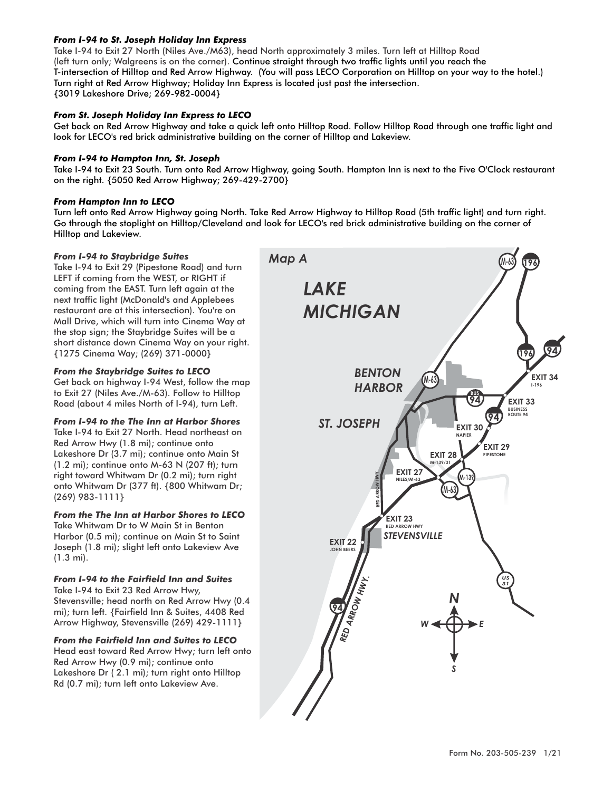## *From I-94 to St. Joseph Holiday Inn Express*

Take I-94 to Exit 27 North (Niles Ave./M63), head North approximately 3 miles. Turn left at Hilltop Road (left turn only; Walgreens is on the corner). Continue straight through two traffic lights until you reach the T-intersection of Hilltop and Red Arrow Highway. (You will pass LECO Corporation on Hilltop on your way to the hotel.) Turn right at Red Arrow Highway; Holiday Inn Express is located just past the intersection. {3019 Lakeshore Drive; 269-982-0004}

## *From St. Joseph Holiday Inn Express to LECO*

Get back on Red Arrow Highway and take a quick left onto Hilltop Road. Follow Hilltop Road through one traffic light and look for LECO's red brick administrative building on the corner of Hilltop and Lakeview.

## *From I-94 to Hampton Inn, St. Joseph*

Take I-94 to Exit 23 South. Turn onto Red Arrow Highway, going South. Hampton Inn is next to the Five O'Clock restaurant on the right. {5050 Red Arrow Highway; 269-429-2700}

## *From Hampton Inn to LECO*

Turn left onto Red Arrow Highway going North. Take Red Arrow Highway to Hilltop Road (5th traffic light) and turn right. Go through the stoplight on Hilltop/Cleveland and look for LECO's red brick administrative building on the corner of Hilltop and Lakeview.

#### *From I-94 to Staybridge Suites*

Take I-94 to Exit 29 (Pipestone Road) and turn LEFT if coming from the WEST, or RIGHT if coming from the EAST. Turn left again at the next traffic light (McDonald's and Applebees restaurant are at this intersection). You're on Mall Drive, which will turn into Cinema Way at the stop sign; the Staybridge Suites will be a short distance down Cinema Way on your right. {1275 Cinema Way; (269) 371-0000}

## *From the Staybridge Suites to LECO*

Get back on highway I-94 West, follow the map to Exit 27 (Niles Ave./M-63). Follow to Hilltop Road (about 4 miles North of I-94), turn Left.

## *From I-94 to the The Inn at Harbor Shores*

Take I-94 to Exit 27 North. Head northeast on Red Arrow Hwy (1.8 mi); continue onto Lakeshore Dr (3.7 mi); continue onto Main St (1.2 mi); continue onto M-63 N (207 ft); turn right toward Whitwam Dr (0.2 mi); turn right onto Whitwam Dr (377 ft). {800 Whitwam Dr; (269) 983-1111}

## *From the The Inn at Harbor Shores to LECO*

Take Whitwam Dr to W Main St in Benton Harbor (0.5 mi); continue on Main St to Saint Joseph (1.8 mi); slight left onto Lakeview Ave (1.3 mi).

## *From I-94 to the Fairfield Inn and Suites*

Take I-94 to Exit 23 Red Arrow Hwy, Stevensville; head north on Red Arrow Hwy (0.4 mi); turn left. {Fairfield Inn & Suites, 4408 Red Arrow Highway, Stevensville (269) 429-1111}

#### *From the Fairfield Inn and Suites to LECO*

Head east toward Red Arrow Hwy; turn left onto Red Arrow Hwy (0.9 mi); continue onto Lakeshore Dr ( 2.1 mi); turn right onto Hilltop Rd (0.7 mi); turn left onto Lakeview Ave.

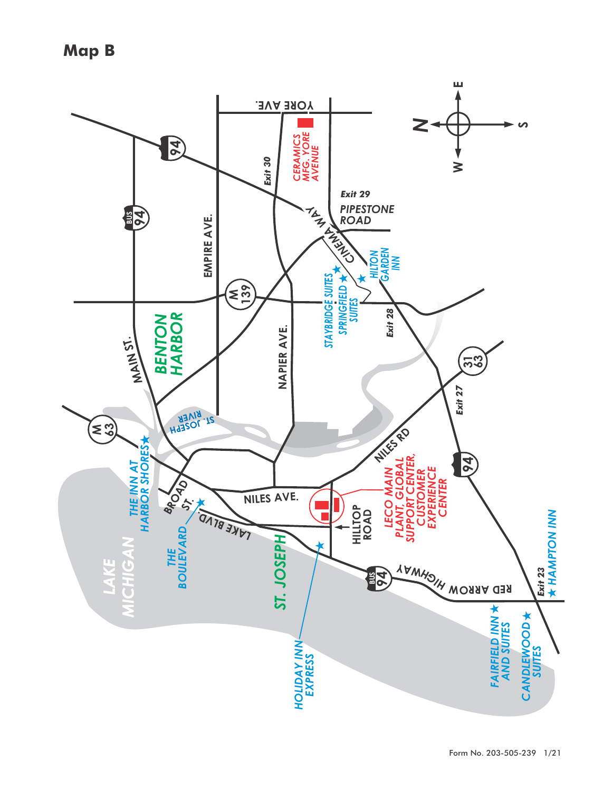**Map B**